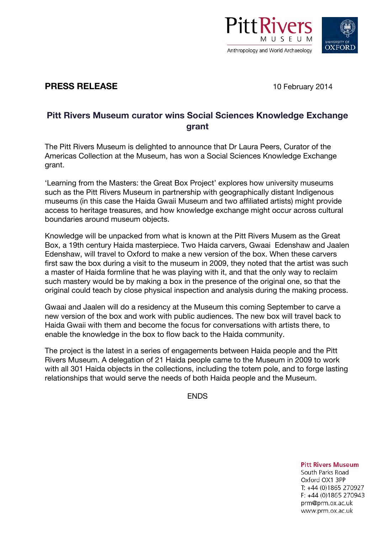



## **PRESS RELEASE** 10 February 2014

## **Pitt Rivers Museum curator wins Social Sciences Knowledge Exchange grant**

The Pitt Rivers Museum is delighted to announce that Dr Laura Peers, Curator of the Americas Collection at the Museum, has won a Social Sciences Knowledge Exchange grant.

'Learning from the Masters: the Great Box Project' explores how university museums such as the Pitt Rivers Museum in partnership with geographically distant Indigenous museums (in this case the Haida Gwaii Museum and two affiliated artists) might provide access to heritage treasures, and how knowledge exchange might occur across cultural boundaries around museum objects.

Knowledge will be unpacked from what is known at the Pitt Rivers Musem as the Great Box, a 19th century Haida masterpiece. Two Haida carvers, Gwaai Edenshaw and Jaalen Edenshaw, will travel to Oxford to make a new version of the box. When these carvers first saw the box during a visit to the museum in 2009, they noted that the artist was such a master of Haida formline that he was playing with it, and that the only way to reclaim such mastery would be by making a box in the presence of the original one, so that the original could teach by close physical inspection and analysis during the making process.

Gwaai and Jaalen will do a residency at the Museum this coming September to carve a new version of the box and work with public audiences. The new box will travel back to Haida Gwaii with them and become the focus for conversations with artists there, to enable the knowledge in the box to flow back to the Haida community.

The project is the latest in a series of engagements between Haida people and the Pitt Rivers Museum. A delegation of 21 Haida people came to the Museum in 2009 to work with all 301 Haida objects in the collections, including the totem pole, and to forge lasting relationships that would serve the needs of both Haida people and the Museum.

**ENDS** 

**Pitt Rivers Museum** South Parks Road

Oxford OX1 3PP T: +44 (0)1865 270927 F: +44 (0)1865 270943 prm@prm.ox.ac.uk www.prm.ox.ac.uk